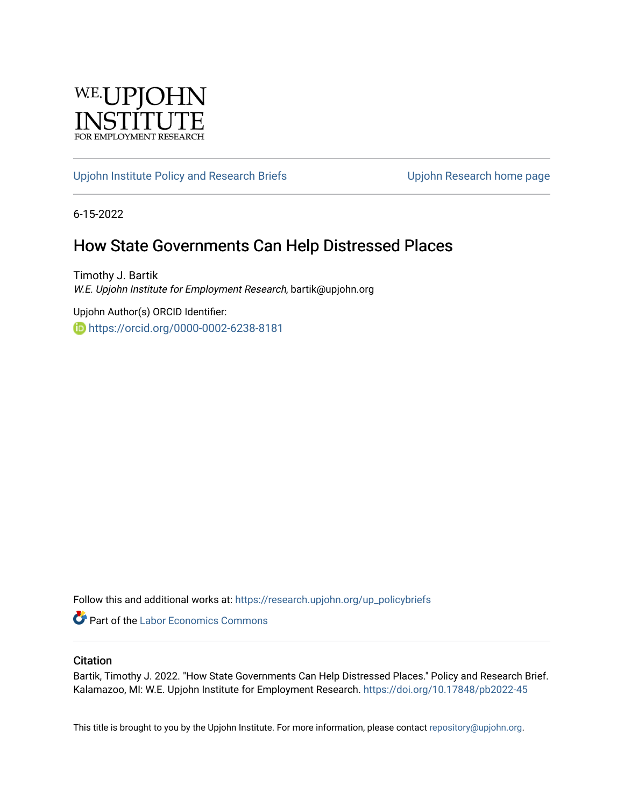

#### [Upjohn Institute Policy and Research Briefs](https://research.upjohn.org/up_policybriefs) Upjohn Research home page

6-15-2022

### How State Governments Can Help Distressed Places

Timothy J. Bartik W.E. Upjohn Institute for Employment Research, bartik@upjohn.org

Upjohn Author(s) ORCID Identifier: **b** https://orcid.org/0000-0002-6238-8181

Follow this and additional works at: [https://research.upjohn.org/up\\_policybriefs](https://research.upjohn.org/up_policybriefs?utm_source=research.upjohn.org%2Fup_policybriefs%2F45&utm_medium=PDF&utm_campaign=PDFCoverPages)

Part of the [Labor Economics Commons](https://network.bepress.com/hgg/discipline/349?utm_source=research.upjohn.org%2Fup_policybriefs%2F45&utm_medium=PDF&utm_campaign=PDFCoverPages)

#### **Citation**

Bartik, Timothy J. 2022. "How State Governments Can Help Distressed Places." Policy and Research Brief. Kalamazoo, MI: W.E. Upjohn Institute for Employment Research. <https://doi.org/10.17848/pb2022-45>

This title is brought to you by the Upjohn Institute. For more information, please contact [repository@upjohn.org](mailto:repository@upjohn.org).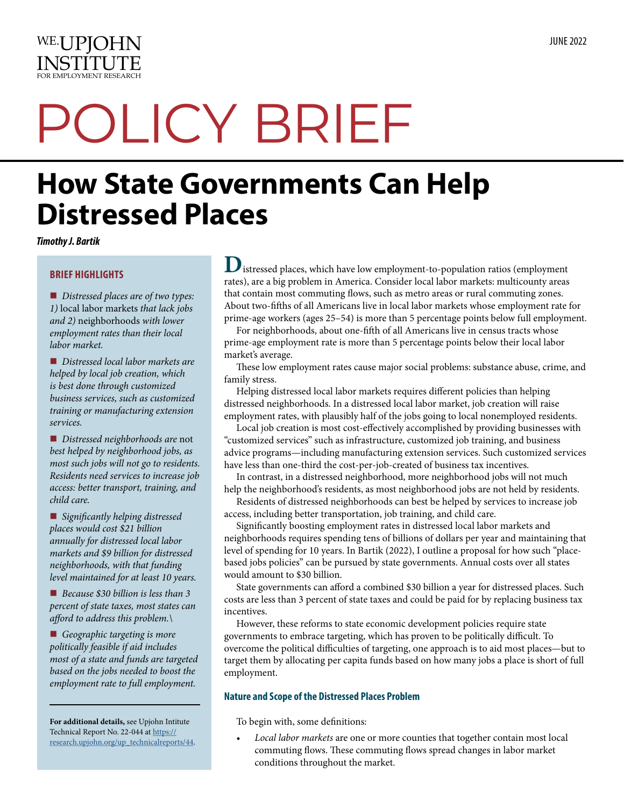

# POLICY BRIEF

## **How State Governments Can Help Distressed Places**

*Timothy J. Bartik* 

#### **BRIEF HIGHLIGHTS**

■ *Distressed places are of two types: 1)* local labor markets *that lack jobs and 2)* neighborhoods *with lower employment rates than their local labor market.*

■ *Distressed local labor markets are helped by local job creation, which is best done through customized business services, such as customized training or manufacturing extension services.*

■ *Distressed neighborhoods are not best helped by neighborhood jobs, as most such jobs will not go to residents. Residents need services to increase job access: better transport, training, and child care.*

■ *Significantly helping distressed places would cost \$21 billion annually for distressed local labor markets and \$9 billion for distressed neighborhoods, with that funding level maintained for at least 10 years.*

■ Because \$30 billion is less than 3 *percent of state taxes, most states can afford to address this problem.\*

■ Geographic targeting is more *politically feasible if aid includes most of a state and funds are targeted based on the jobs needed to boost the employment rate to full employment.*

**For additional details,** see Upjohn Intitute Technical Report No. 22-044 at [https://](https://research.upjohn.org/up_technicalreports/44) [research.upjohn.org/up\\_technicalreports/44.](https://research.upjohn.org/up_technicalreports/44) **D**istressed places, which have low employment-to-population ratios (employment rates), are a big problem in America. Consider local labor markets: multicounty areas that contain most commuting flows, such as metro areas or rural commuting zones. About two-ffhs of all Americans live in local labor markets whose employment rate for prime-age workers (ages 25–54) is more than 5 percentage points below full employment.

For neighborhoods, about one-ffh of all Americans live in census tracts whose prime-age employment rate is more than 5 percentage points below their local labor market's average.

These low employment rates cause major social problems: substance abuse, crime, and family stress.

Helping distressed local labor markets requires diferent policies than helping distressed neighborhoods. In a distressed local labor market, job creation will raise employment rates, with plausibly half of the jobs going to local nonemployed residents.

Local job creation is most cost-efectively accomplished by providing businesses with "customized services" such as infrastructure, customized job training, and business advice programs—including manufacturing extension services. Such customized services have less than one-third the cost-per-job-created of business tax incentives.

In contrast, in a distressed neighborhood, more neighborhood jobs will not much help the neighborhood's residents, as most neighborhood jobs are not held by residents.

Residents of distressed neighborhoods can best be helped by services to increase job access, including better transportation, job training, and child care.

Signifcantly boosting employment rates in distressed local labor markets and neighborhoods requires spending tens of billions of dollars per year and maintaining that level of spending for 10 years. In Bartik (2022), I outline a proposal for how such "placebased jobs policies" can be pursued by state governments. Annual costs over all states would amount to \$30 billion.

State governments can afford a combined \$30 billion a year for distressed places. Such costs are less than 3 percent of state taxes and could be paid for by replacing business tax incentives.

However, these reforms to state economic development policies require state governments to embrace targeting, which has proven to be politically difcult. To overcome the political difficulties of targeting, one approach is to aid most places-but to target them by allocating per capita funds based on how many jobs a place is short of full employment.

#### **Nature and Scope of the Distressed Places Problem**

To begin with, some defnitions:

*• Local labor markets* are one or more counties that together contain most local commuting flows. These commuting flows spread changes in labor market conditions throughout the market.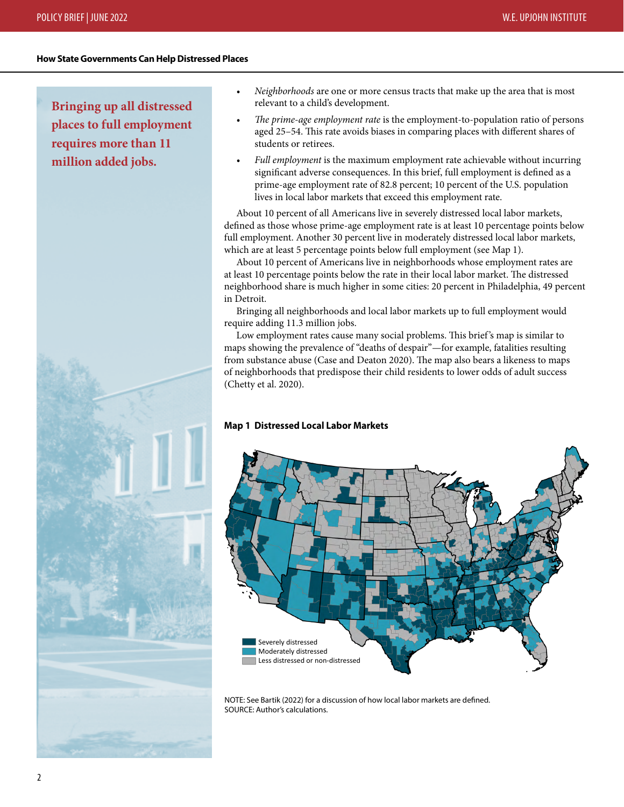#### **How State Governments Can Help Distressed Places**

**Bringing up all distressed places to full employment requires more than 11 million added jobs.** 



- *Neighborhoods* are one or more census tracts that make up the area that is most relevant to a child's development.
- *The prime-age employment rate* is the employment-to-population ratio of persons aged 25-54. This rate avoids biases in comparing places with different shares of students or retirees.
- *Full employment* is the maximum employment rate achievable without incurring signifcant adverse consequences. In this brief, full employment is defned as a prime-age employment rate of 82.8 percent; 10 percent of the U.S. population lives in local labor markets that exceed this employment rate.

About 10 percent of all Americans live in severely distressed local labor markets, defned as those whose prime-age employment rate is at least 10 percentage points below full employment. Another 30 percent live in moderately distressed local labor markets, which are at least 5 percentage points below full employment (see Map 1).

About 10 percent of Americans live in neighborhoods whose employment rates are at least 10 percentage points below the rate in their local labor market. The distressed neighborhood share is much higher in some cities: 20 percent in Philadelphia, 49 percent in Detroit.

Bringing all neighborhoods and local labor markets up to full employment would require adding 11.3 million jobs.

Low employment rates cause many social problems. This brief's map is similar to maps showing the prevalence of "deaths of despair"—for example, fatalities resulting from substance abuse (Case and Deaton 2020). The map also bears a likeness to maps of neighborhoods that predispose their child residents to lower odds of adult success (Chetty et al. 2020).

#### **Map 1 Distressed Local Labor Markets**



NOTE: See Bartik (2022) for a discussion of how local labor markets are defned. SOURCE: Author's calculations.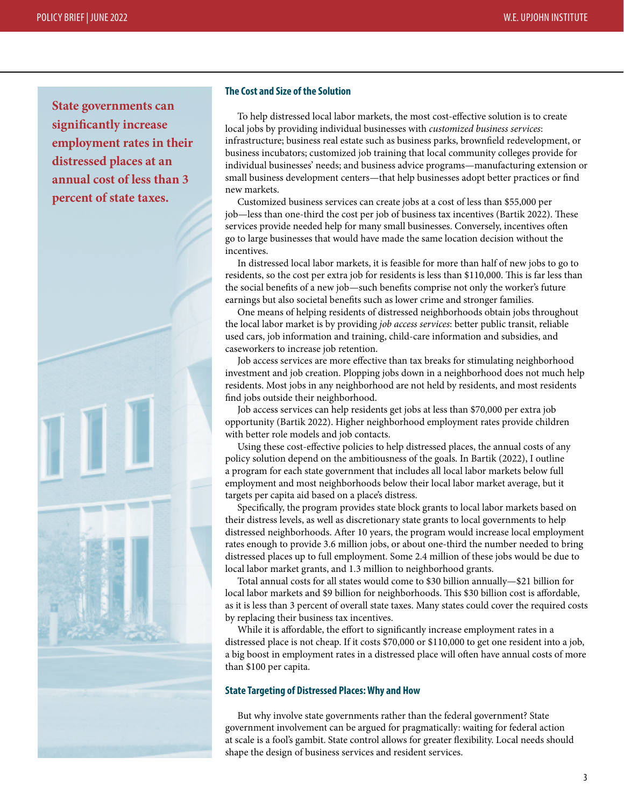**State governments can signifcantly increase employment rates in their distressed places at an annual cost of less than 3 percent of state taxes.** 



#### **The Cost and Size of the Solution**

To help distressed local labor markets, the most cost-efective solution is to create local jobs by providing individual businesses with *customized business services*: infrastructure; business real estate such as business parks, brownfeld redevelopment, or business incubators; customized job training that local community colleges provide for individual businesses' needs; and business advice programs—manufacturing extension or small business development centers—that help businesses adopt better practices or fnd new markets.

Customized business services can create jobs at a cost of less than \$55,000 per job—less than one-third the cost per job of business tax incentives (Bartik 2022). These services provide needed help for many small businesses. Conversely, incentives ofen go to large businesses that would have made the same location decision without the incentives.

In distressed local labor markets, it is feasible for more than half of new jobs to go to residents, so the cost per extra job for residents is less than \$110,000. This is far less than the social benefts of a new job—such benefts comprise not only the worker's future earnings but also societal benefts such as lower crime and stronger families.

One means of helping residents of distressed neighborhoods obtain jobs throughout the local labor market is by providing *job access services*: better public transit, reliable used cars, job information and training, child-care information and subsidies, and caseworkers to increase job retention.

Job access services are more efective than tax breaks for stimulating neighborhood investment and job creation. Plopping jobs down in a neighborhood does not much help residents. Most jobs in any neighborhood are not held by residents, and most residents fnd jobs outside their neighborhood.

Job access services can help residents get jobs at less than \$70,000 per extra job opportunity (Bartik 2022). Higher neighborhood employment rates provide children with better role models and job contacts.

Using these cost-efective policies to help distressed places, the annual costs of any policy solution depend on the ambitiousness of the goals. In Bartik (2022), I outline a program for each state government that includes all local labor markets below full employment and most neighborhoods below their local labor market average, but it targets per capita aid based on a place's distress.

Specifcally, the program provides state block grants to local labor markets based on their distress levels, as well as discretionary state grants to local governments to help distressed neighborhoods. Afer 10 years, the program would increase local employment rates enough to provide 3.6 million jobs, or about one-third the number needed to bring distressed places up to full employment. Some 2.4 million of these jobs would be due to local labor market grants, and 1.3 million to neighborhood grants.

Total annual costs for all states would come to \$30 billion annually—\$21 billion for local labor markets and \$9 billion for neighborhoods. This \$30 billion cost is affordable, as it is less than 3 percent of overall state taxes. Many states could cover the required costs by replacing their business tax incentives.

While it is affordable, the effort to significantly increase employment rates in a distressed place is not cheap. If it costs \$70,000 or \$110,000 to get one resident into a job, a big boost in employment rates in a distressed place will ofen have annual costs of more than \$100 per capita.

#### **State Targeting of Distressed Places: Why and How**

But why involve state governments rather than the federal government? State government involvement can be argued for pragmatically: waiting for federal action at scale is a fool's gambit. State control allows for greater fexibility. Local needs should shape the design of business services and resident services.